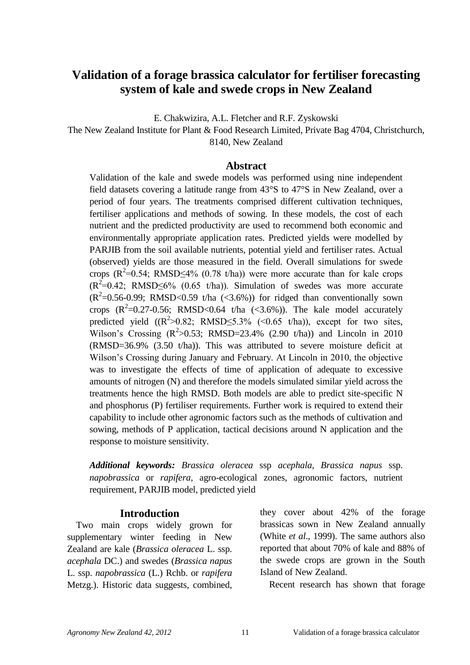# **Validation of a forage brassica calculator for fertiliser forecasting system of kale and swede crops in New Zealand**

E. Chakwizira, A.L. Fletcher and R.F. Zyskowski

The New Zealand Institute for Plant & Food Research Limited, Private Bag 4704, Christchurch, 8140, New Zealand

## **Abstract**

Validation of the kale and swede models was performed using nine independent field datasets covering a latitude range from 43°S to 47°S in New Zealand, over a period of four years. The treatments comprised different cultivation techniques, fertiliser applications and methods of sowing. In these models, the cost of each nutrient and the predicted productivity are used to recommend both economic and environmentally appropriate application rates. Predicted yields were modelled by PARJIB from the soil available nutrients, potential yield and fertiliser rates. Actual (observed) yields are those measured in the field. Overall simulations for swede crops ( $R^2$ =0.54; RMSD $\leq$ 4% (0.78 t/ha)) were more accurate than for kale crops  $(R^2=0.42; RMSD\leq 6\%$  (0.65 t/ha)). Simulation of swedes was more accurate  $(R^2=0.56-0.99; RMSD<0.59$  t/ha (<3.6%)) for ridged than conventionally sown crops  $(R^2=0.27-0.56$ ; RMSD<0.64 t/ha  $(\leq 3.6\%)$ ). The kale model accurately predicted yield  $((R^2>0.82; RMSD \le 5.3\%$  (<0.65 t/ha)), except for two sites, Wilson's Crossing  $(R^2>0.53$ ; RMSD=23.4%  $(2.90 \text{ t/ha})$  and Lincoln in 2010 (RMSD=36.9% (3.50 t/ha)). This was attributed to severe moisture deficit at Wilson"s Crossing during January and February. At Lincoln in 2010, the objective was to investigate the effects of time of application of adequate to excessive amounts of nitrogen (N) and therefore the models simulated similar yield across the treatments hence the high RMSD. Both models are able to predict site-specific N and phosphorus (P) fertiliser requirements. Further work is required to extend their capability to include other agronomic factors such as the methods of cultivation and sowing, methods of P application, tactical decisions around N application and the response to moisture sensitivity.

*Additional keywords: Brassica oleracea* ssp *acephala, Brassica napus* ssp. *napobrassica* or *rapifera,* agro-ecological zones, agronomic factors, nutrient requirement, PARJIB model, predicted yield

## **Introduction**

Two main crops widely grown for supplementary winter feeding in New Zealand are kale (*Brassica oleracea* L. ssp. *acephala* DC.) and swedes (*Brassica napus* L. ssp. *napobrassica* (L.) Rchb. or *rapifera*  Metzg.). Historic data suggests, combined, they cover about 42% of the forage brassicas sown in New Zealand annually (White *et al*., 1999). The same authors also reported that about 70% of kale and 88% of the swede crops are grown in the South Island of New Zealand.

Recent research has shown that forage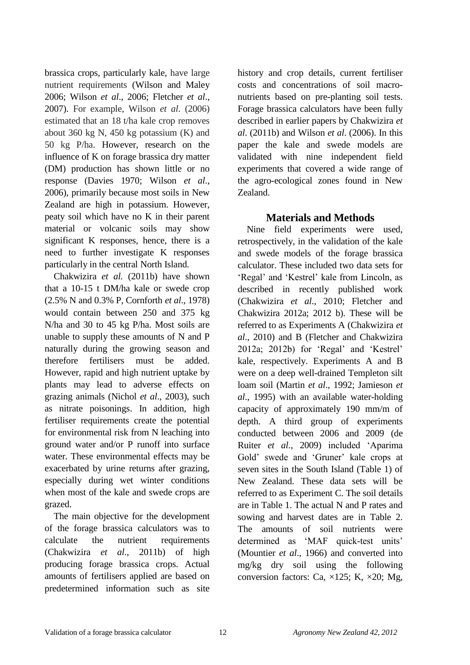brassica crops, particularly kale, have large nutrient requirements (Wilson and Maley 2006; Wilson *et al*., 2006; Fletcher *et al*., 2007). For example, Wilson *et al*. (2006) estimated that an 18 t/ha kale crop removes about 360 kg N, 450 kg potassium (K) and 50 kg P/ha. However, research on the influence of K on forage brassica dry matter (DM) production has shown little or no response (Davies 1970; Wilson *et al*., 2006), primarily because most soils in New Zealand are high in potassium. However, peaty soil which have no K in their parent material or volcanic soils may show significant K responses, hence, there is a need to further investigate K responses particularly in the central North Island.

Chakwizira *et al.* (2011b) have shown that a 10-15 t DM/ha kale or swede crop (2.5% N and 0.3% P, Cornforth *et al*., 1978) would contain between 250 and 375 kg N/ha and 30 to 45 kg P/ha. Most soils are unable to supply these amounts of N and P naturally during the growing season and therefore fertilisers must be added. However, rapid and high nutrient uptake by plants may lead to adverse effects on grazing animals (Nichol *et al*., 2003), such as nitrate poisonings. In addition, high fertiliser requirements create the potential for environmental risk from N leaching into ground water and/or P runoff into surface water. These environmental effects may be exacerbated by urine returns after grazing, especially during wet winter conditions when most of the kale and swede crops are grazed.

The main objective for the development of the forage brassica calculators was to calculate the nutrient requirements (Chakwizira *et al*., 2011b) of high producing forage brassica crops. Actual amounts of fertilisers applied are based on predetermined information such as site history and crop details, current fertiliser costs and concentrations of soil macronutrients based on pre-planting soil tests. Forage brassica calculators have been fully described in earlier papers by Chakwizira *et al*. (2011b) and Wilson *et al*. (2006). In this paper the kale and swede models are validated with nine independent field experiments that covered a wide range of the agro-ecological zones found in New Zealand.

## **Materials and Methods**

Nine field experiments were used, retrospectively, in the validation of the kale and swede models of the forage brassica calculator. These included two data sets for "Regal" and "Kestrel" kale from Lincoln, as described in recently published work (Chakwizira *et al*., 2010; Fletcher and Chakwizira 2012a; 2012 b). These will be referred to as Experiments A (Chakwizira *et al*., 2010) and B (Fletcher and Chakwizira 2012a; 2012b) for "Regal" and "Kestrel" kale, respectively. Experiments A and B were on a deep well-drained Templeton silt loam soil (Martin *et al*., 1992; Jamieson *et al*., 1995) with an available water-holding capacity of approximately 190 mm/m of depth. A third group of experiments conducted between 2006 and 2009 (de Ruiter *et al*., 2009) included "Aparima Gold' swede and 'Gruner' kale crops at seven sites in the South Island (Table 1) of New Zealand. These data sets will be referred to as Experiment C. The soil details are in Table 1. The actual N and P rates and sowing and harvest dates are in Table 2. The amounts of soil nutrients were determined as 'MAF quick-test units' (Mountier *et al*., 1966) and converted into mg/kg dry soil using the following conversion factors: Ca,  $\times$ 125; K,  $\times$ 20; Mg,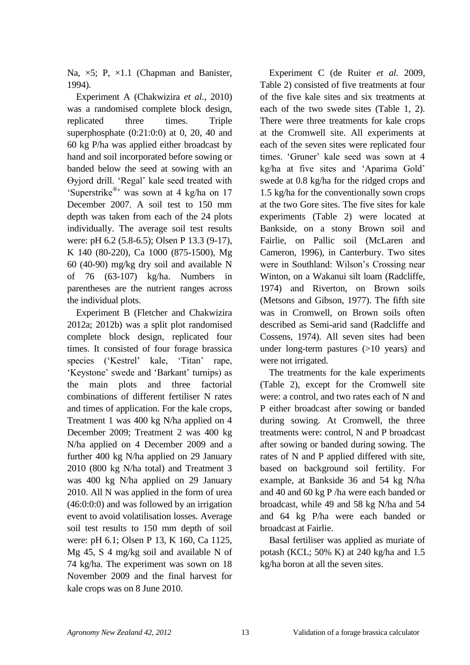Na,  $\times$ 5; P,  $\times$ 1.1 (Chapman and Banister, 1994).

Experiment A (Chakwizira *et al*., 2010) was a randomised complete block design, replicated three times. Triple superphosphate  $(0:21:0:0)$  at 0, 20, 40 and 60 kg P/ha was applied either broadcast by hand and soil incorporated before sowing or banded below the seed at sowing with an Өyjord drill. "Regal" kale seed treated with 'Superstrike®' was sown at 4 kg/ha on 17 December 2007. A soil test to 150 mm depth was taken from each of the 24 plots individually. The average soil test results were: pH 6.2 (5.8-6.5); Olsen P 13.3 (9-17), K 140 (80-220), Ca 1000 (875-1500), Mg 60 (40-90) mg/kg dry soil and available N of 76 (63-107) kg/ha. Numbers in parentheses are the nutrient ranges across the individual plots.

Experiment B (Fletcher and Chakwizira 2012a; 2012b) was a split plot randomised complete block design, replicated four times. It consisted of four forage brassica species ('Kestrel' kale, 'Titan' rape, "Keystone" swede and "Barkant" turnips) as the main plots and three factorial combinations of different fertiliser N rates and times of application. For the kale crops, Treatment 1 was 400 kg N/ha applied on 4 December 2009; Treatment 2 was 400 kg N/ha applied on 4 December 2009 and a further 400 kg N/ha applied on 29 January 2010 (800 kg N/ha total) and Treatment 3 was 400 kg N/ha applied on 29 January 2010. All N was applied in the form of urea (46:0:0:0) and was followed by an irrigation event to avoid volatilisation losses. Average soil test results to 150 mm depth of soil were: pH 6.1; Olsen P 13, K 160, Ca 1125, Mg 45, S 4 mg/kg soil and available N of 74 kg/ha. The experiment was sown on 18 November 2009 and the final harvest for kale crops was on 8 June 2010.

Experiment C (de Ruiter *et al.* 2009, Table 2) consisted of five treatments at four of the five kale sites and six treatments at each of the two swede sites (Table 1, 2). There were three treatments for kale crops at the Cromwell site. All experiments at each of the seven sites were replicated four times. "Gruner" kale seed was sown at 4 kg/ha at five sites and "Aparima Gold" swede at 0.8 kg/ha for the ridged crops and 1.5 kg/ha for the conventionally sown crops at the two Gore sites. The five sites for kale experiments (Table 2) were located at Bankside, on a stony Brown soil and Fairlie, on Pallic soil (McLaren and Cameron, 1996), in Canterbury. Two sites were in Southland: Wilson's Crossing near Winton, on a Wakanui silt loam (Radcliffe, 1974) and Riverton, on Brown soils (Metsons and Gibson, 1977). The fifth site was in Cromwell, on Brown soils often described as Semi-arid sand (Radcliffe and Cossens, 1974). All seven sites had been under long-term pastures (>10 years) and were not irrigated.

The treatments for the kale experiments (Table 2), except for the Cromwell site were: a control, and two rates each of N and P either broadcast after sowing or banded during sowing. At Cromwell, the three treatments were: control, N and P broadcast after sowing or banded during sowing. The rates of N and P applied differed with site, based on background soil fertility. For example, at Bankside 36 and 54 kg N/ha and 40 and 60 kg P /ha were each banded or broadcast, while 49 and 58 kg N/ha and 54 and 64 kg P/ha were each banded or broadcast at Fairlie.

Basal fertiliser was applied as muriate of potash (KCL; 50% K) at 240 kg/ha and 1.5 kg/ha boron at all the seven sites.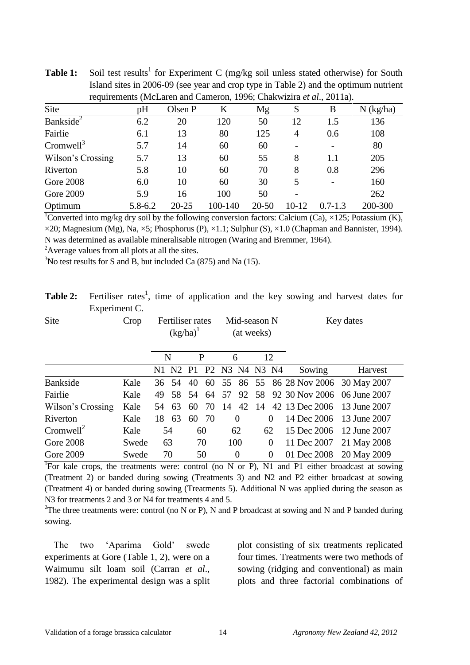|                       |         |           | requirements (McLaren and Cameron, 1990; Chakwizira <i>et al.</i> , 2011a). |           |                          |             |             |
|-----------------------|---------|-----------|-----------------------------------------------------------------------------|-----------|--------------------------|-------------|-------------|
| Site                  | pH      | Olsen P   | K                                                                           | Mg        | S                        | B           | $N$ (kg/ha) |
| Bankside <sup>2</sup> | 6.2     | 20        | 120                                                                         | 50        | 12                       | 1.5         | 136         |
| Fairlie               | 6.1     | 13        | 80                                                                          | 125       | 4                        | 0.6         | 108         |
| Cromwell <sup>3</sup> | 5.7     | 14        | 60                                                                          | 60        | $\overline{\phantom{0}}$ |             | 80          |
| Wilson's Crossing     | 5.7     | 13        | 60                                                                          | 55        | 8                        | 1.1         | 205         |
| Riverton              | 5.8     | 10        | 60                                                                          | 70        | 8                        | 0.8         | 296         |
| <b>Gore 2008</b>      | 6.0     | 10        | 60                                                                          | 30        | 5                        |             | 160         |
| Gore 2009             | 5.9     | 16        | 100                                                                         | 50        |                          |             | 262         |
| Optimum               | 5.8-6.2 | $20 - 25$ | 100-140                                                                     | $20 - 50$ | 10-12                    | $0.7 - 1.3$ | 200-300     |

**Table 1:** Soil test results<sup>1</sup> for Experiment C (mg/kg soil unless stated otherwise) for South Island sites in 2006-09 (see year and crop type in Table 2) and the optimum nutrient<br>  $\frac{1006 \text{ GHz}}{1000 \text{ GHz}}$  $r<sub>1</sub>$   $\ldots$   $r<sub>n</sub>$ <br>(Makwizira *et al.*, 2011a).

<sup>1</sup>Converted into mg/kg dry soil by the following conversion factors: Calcium (Ca),  $\times$ 125; Potassium (K),  $\times$ 20; Magnesium (Mg), Na,  $\times$ 5; Phosphorus (P),  $\times$ 1.1; Sulphur (S),  $\times$ 1.0 (Chapman and Bannister, 1994). N was determined as available mineralisable nitrogen (Waring and Bremmer, 1964).

<sup>2</sup>Average values from all plots at all the sites.

 $3$ No test results for S and B, but included Ca (875) and Na (15).

| Table 2: Fertiliser rates <sup>1</sup> , time of application and the key sowing and harvest dates for |  |  |  |  |  |  |
|-------------------------------------------------------------------------------------------------------|--|--|--|--|--|--|
| Experiment C.                                                                                         |  |  |  |  |  |  |

| Site                  | Crop  |    | $(kg/ha)^T$ |                | Fertiliser rates<br>Mid-season N<br>(at weeks) |    |                | Key dates      |                                        |              |
|-----------------------|-------|----|-------------|----------------|------------------------------------------------|----|----------------|----------------|----------------------------------------|--------------|
|                       |       |    | N           | P              |                                                |    | 6              | 12             |                                        |              |
|                       |       |    | N1 N2       | P <sub>1</sub> |                                                |    | P2 N3 N4 N3 N4 |                | Sowing                                 | Harvest      |
| <b>Bankside</b>       | Kale  | 36 | 54          | 40             |                                                |    |                |                | 60 55 86 55 86 28 Nov 2006 30 May 2007 |              |
| Fairlie               | Kale  | 49 | 58          | 54             | -64                                            | 57 | 92             |                | 58 92 30 Nov 2006 06 June 2007         |              |
| Wilson's Crossing     | Kale  | 54 | 63          | 60             | 70                                             | 14 | 42             |                | 14 42 13 Dec 2006                      | 13 June 2007 |
| Riverton              | Kale  | 18 | 63          | 60             | 70                                             |    | $\theta$       | $\Omega$       | 14 Dec 2006                            | 13 June 2007 |
| Cromwell <sup>2</sup> | Kale  |    | 54          |                | 60                                             |    | 62             | 62             | 15 Dec 2006                            | 12 June 2007 |
| <b>Gore 2008</b>      | Swede |    | 63          |                | 70                                             |    | 100            | $\overline{0}$ | 11 Dec 2007                            | 21 May 2008  |
| <b>Gore 2009</b>      | Swede |    | 70          |                | 50                                             |    | $\overline{0}$ | $\Omega$       | 01 Dec 2008                            | 20 May 2009  |

<sup>1</sup>For kale crops, the treatments were: control (no N or P), N1 and P1 either broadcast at sowing (Treatment 2) or banded during sowing (Treatments 3) and N2 and P2 either broadcast at sowing (Treatment 4) or banded during sowing (Treatments 5). Additional N was applied during the season as N3 for treatments 2 and 3 or N4 for treatments 4 and 5.

<sup>2</sup>The three treatments were: control (no N or P), N and P broadcast at sowing and N and P banded during sowing.

The two "Aparima Gold" swede experiments at Gore (Table 1, 2), were on a Waimumu silt loam soil (Carran *et al*., 1982). The experimental design was a split plot consisting of six treatments replicated four times. Treatments were two methods of sowing (ridging and conventional) as main plots and three factorial combinations of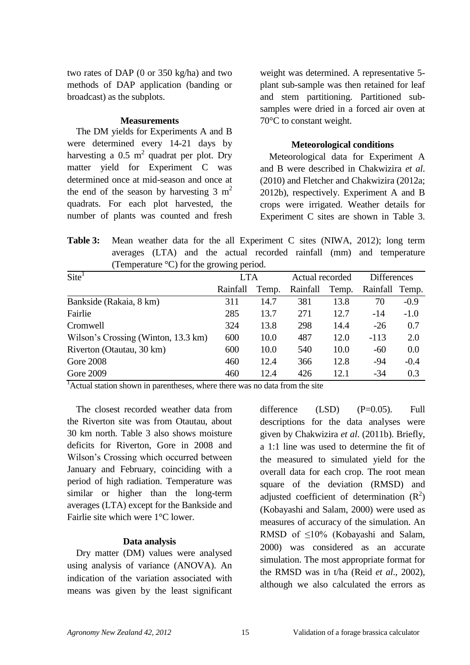two rates of DAP (0 or 350 kg/ha) and two methods of DAP application (banding or broadcast) as the subplots.

#### **Measurements**

The DM yields for Experiments A and B were determined every 14-21 days by harvesting a 0.5  $m^2$  quadrat per plot. Dry matter yield for Experiment C was determined once at mid-season and once at the end of the season by harvesting  $3 \text{ m}^2$ quadrats. For each plot harvested, the number of plants was counted and fresh

weight was determined. A representative 5 plant sub-sample was then retained for leaf and stem partitioning. Partitioned subsamples were dried in a forced air oven at 70°C to constant weight.

## **Meteorological conditions**

Meteorological data for Experiment A and B were described in Chakwizira *et al*. (2010) and Fletcher and Chakwizira (2012a; 2012b), respectively. Experiment A and B crops were irrigated. Weather details for Experiment C sites are shown in Table 3.

**Table 3:** Mean weather data for the all Experiment C sites (NIWA, 2012); long term averages (LTA) and the actual recorded rainfall (mm) and temperature (Temperature °C) for the growing period.

| $\text{Site}^1$                     | <b>LTA</b> |       | Actual recorded |       |          | <b>Differences</b> |  |
|-------------------------------------|------------|-------|-----------------|-------|----------|--------------------|--|
|                                     | Rainfall   | Temp. | Rainfall        | Temp. | Rainfall | Temp.              |  |
| Bankside (Rakaia, 8 km)             | 311        | 14.7  | 381             | 13.8  | 70       | $-0.9$             |  |
| Fairlie                             | 285        | 13.7  | 271             | 12.7  | $-14$    | $-1.0$             |  |
| Cromwell                            | 324        | 13.8  | 298             | 14.4  | $-26$    | 0.7                |  |
| Wilson's Crossing (Winton, 13.3 km) | 600        | 10.0  | 487             | 12.0  | $-113$   | 2.0                |  |
| Riverton (Otautau, 30 km)           | 600        | 10.0  | 540             | 10.0  | $-60$    | 0.0                |  |
| <b>Gore 2008</b>                    | 460        | 12.4  | 366             | 12.8  | $-94$    | $-0.4$             |  |
| Gore 2009                           | 460        | 12.4  | 426             | 12.1  | $-34$    | 0.3                |  |

<sup>1</sup>Actual station shown in parentheses, where there was no data from the site

The closest recorded weather data from the Riverton site was from Otautau, about 30 km north. Table 3 also shows moisture deficits for Riverton, Gore in 2008 and Wilson"s Crossing which occurred between January and February, coinciding with a period of high radiation. Temperature was similar or higher than the long-term averages (LTA) except for the Bankside and Fairlie site which were 1°C lower.

## **Data analysis**

Dry matter (DM) values were analysed using analysis of variance (ANOVA). An indication of the variation associated with means was given by the least significant difference (LSD) (P=0.05). Full descriptions for the data analyses were given by Chakwizira *et al*. (2011b). Briefly, a 1:1 line was used to determine the fit of the measured to simulated yield for the overall data for each crop. The root mean square of the deviation (RMSD) and adjusted coefficient of determination  $(R^2)$ (Kobayashi and Salam, 2000) were used as measures of accuracy of the simulation. An RMSD of ≤10% (Kobayashi and Salam, 2000) was considered as an accurate simulation. The most appropriate format for the RMSD was in t/ha (Reid *et al*., 2002), although we also calculated the errors as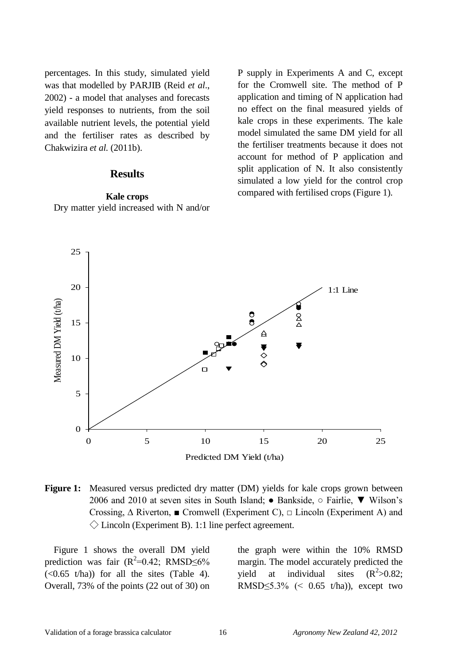percentages. In this study, simulated yield was that modelled by PARJIB (Reid *et al*., 2002) - a model that analyses and forecasts yield responses to nutrients, from the soil available nutrient levels, the potential yield and the fertiliser rates as described by Chakwizira *et al.* (2011b).

## **Results**

## **Kale crops** Dry matter yield increased with N and/or

P supply in Experiments A and C, except for the Cromwell site. The method of P application and timing of N application had no effect on the final measured yields of kale crops in these experiments. The kale model simulated the same DM yield for all the fertiliser treatments because it does not account for method of P application and split application of N. It also consistently simulated a low yield for the control crop compared with fertilised crops (Figure 1).



**Figure 1:** Measured versus predicted dry matter (DM) yields for kale crops grown between 2006 and 2010 at seven sites in South Island; ● Bankside, ○ Fairlie, ▼ Wilson"s Crossing,  $\Delta$  Riverton,  $\blacksquare$  Cromwell (Experiment C),  $\Box$  Lincoln (Experiment A) and  $\Diamond$  Lincoln (Experiment B). 1:1 line perfect agreement.

Figure 1 shows the overall DM yield prediction was fair  $(R^2=0.42; RMSD \leq 6\%$  $(\leq 0.65 \text{ t/ha})$  for all the sites (Table 4). Overall, 73% of the points (22 out of 30) on

the graph were within the 10% RMSD margin. The model accurately predicted the yield at individual sites  $(R^2>0.82)$ ; RMSD $\leq$ 5.3% (< 0.65 t/ha)), except two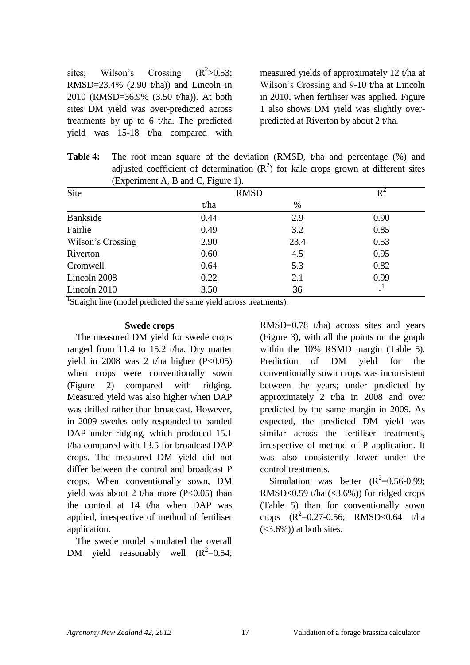sites; Wilson's Crossing  $(R^2>0.53)$ ; RMSD=23.4% (2.90 t/ha)) and Lincoln in 2010 (RMSD=36.9% (3.50 t/ha)). At both sites DM yield was over-predicted across treatments by up to 6 t/ha. The predicted yield was 15-18 t/ha compared with

measured yields of approximately 12 t/ha at Wilson"s Crossing and 9-10 t/ha at Lincoln in 2010, when fertiliser was applied. Figure 1 also shows DM yield was slightly overpredicted at Riverton by about 2 t/ha.

**Table 4:** The root mean square of the deviation (RMSD, t/ha and percentage (%) and adjusted coefficient of determination  $(R^2)$  for kale crops grown at different sites (Experiment A, B and C, Figure 1).

| Site              | <b>RMSD</b> |      |      |
|-------------------|-------------|------|------|
|                   | t/ha        | $\%$ |      |
| Bankside          | 0.44        | 2.9  | 0.90 |
| Fairlie           | 0.49        | 3.2  | 0.85 |
| Wilson's Crossing | 2.90        | 23.4 | 0.53 |
| Riverton          | 0.60        | 4.5  | 0.95 |
| Cromwell          | 0.64        | 5.3  | 0.82 |
| Lincoln 2008      | 0.22        | 2.1  | 0.99 |
| Lincoln 2010      | 3.50        | 36   |      |

<sup>1</sup>Straight line (model predicted the same yield across treatments).

#### **Swede crops**

The measured DM yield for swede crops ranged from 11.4 to 15.2 t/ha. Dry matter yield in 2008 was 2 t/ha higher  $(P<0.05)$ when crops were conventionally sown (Figure 2) compared with ridging. Measured yield was also higher when DAP was drilled rather than broadcast. However, in 2009 swedes only responded to banded DAP under ridging, which produced 15.1 t/ha compared with 13.5 for broadcast DAP crops. The measured DM yield did not differ between the control and broadcast P crops. When conventionally sown, DM yield was about 2 t/ha more  $(P<0.05)$  than the control at 14 t/ha when DAP was applied, irrespective of method of fertiliser application.

The swede model simulated the overall DM yield reasonably well  $(R^2=0.54)$ ; RMSD=0.78 t/ha) across sites and years (Figure 3), with all the points on the graph within the 10% RSMD margin (Table 5). Prediction of DM yield for the conventionally sown crops was inconsistent between the years; under predicted by approximately 2 t/ha in 2008 and over predicted by the same margin in 2009. As expected, the predicted DM yield was similar across the fertiliser treatments, irrespective of method of P application. It was also consistently lower under the control treatments.

Simulation was better  $(R^2=0.56-0.99)$ ; RMSD< $0.59$  t/ha (< $3.6\%$ )) for ridged crops (Table 5) than for conventionally sown crops  $(R^2=0.27-0.56;$  RMSD<0.64 t/ha  $(<3.6\%)$ ) at both sites.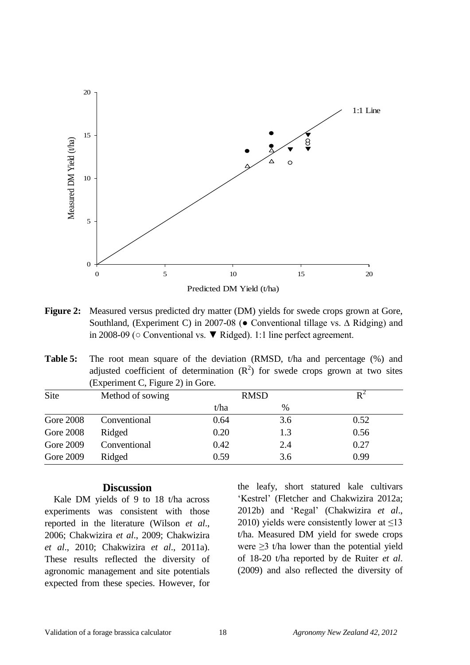

- **Figure 2:** Measured versus predicted dry matter (DM) yields for swede crops grown at Gore, Southland, (Experiment C) in 2007-08 (● Conventional tillage vs. ∆ Ridging) and in 2008-09 (○ Conventional vs. ▼ Ridged). 1:1 line perfect agreement.
- **Table 5:** The root mean square of the deviation (RMSD, t/ha and percentage (%) and adjusted coefficient of determination  $(R^2)$  for swede crops grown at two sites (Experiment C, Figure 2) in Gore.

| Site             | Method of sowing | <b>RMSD</b> |      |      |
|------------------|------------------|-------------|------|------|
|                  |                  | t/ha        | $\%$ |      |
| <b>Gore 2008</b> | Conventional     | 0.64        | 3.6  | 0.52 |
| <b>Gore 2008</b> | Ridged           | 0.20        | 1.3  | 0.56 |
| Gore 2009        | Conventional     | 0.42        | 2.4  | 0.27 |
| Gore 2009        | Ridged           | 0.59        | 3.6  | 0.99 |

## **Discussion**

Kale DM yields of 9 to 18 t/ha across experiments was consistent with those reported in the literature (Wilson *et al*., 2006; Chakwizira *et al*., 2009; Chakwizira *et al*., 2010; Chakwizira *et al*., 2011a). These results reflected the diversity of agronomic management and site potentials expected from these species. However, for

the leafy, short statured kale cultivars 'Kestrel' (Fletcher and Chakwizira 2012a; 2012b) and "Regal" (Chakwizira *et al*., 2010) yields were consistently lower at  $\leq$ 13 t/ha. Measured DM yield for swede crops were  $\geq$ 3 t/ha lower than the potential yield of 18-20 t/ha reported by de Ruiter *et al*. (2009) and also reflected the diversity of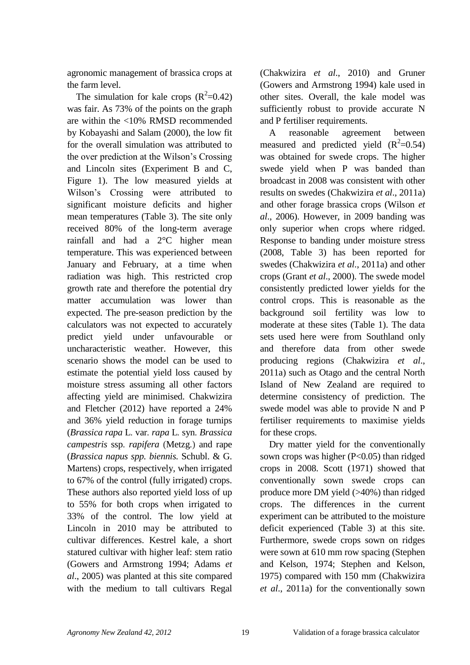agronomic management of brassica crops at the farm level.

The simulation for kale crops  $(R^2=0.42)$ was fair. As 73% of the points on the graph are within the <10% RMSD recommended by Kobayashi and Salam (2000), the low fit for the overall simulation was attributed to the over prediction at the Wilson"s Crossing and Lincoln sites (Experiment B and C, Figure 1). The low measured yields at Wilson"s Crossing were attributed to significant moisture deficits and higher mean temperatures (Table 3). The site only received 80% of the long-term average rainfall and had a 2°C higher mean temperature. This was experienced between January and February, at a time when radiation was high. This restricted crop growth rate and therefore the potential dry matter accumulation was lower than expected. The pre-season prediction by the calculators was not expected to accurately predict yield under unfavourable or uncharacteristic weather. However, this scenario shows the model can be used to estimate the potential yield loss caused by moisture stress assuming all other factors affecting yield are minimised. Chakwizira and Fletcher (2012) have reported a 24% and 36% yield reduction in forage turnips (*Brassica rapa* L*.* var*. rapa* L*.* syn*. Brassica campestris* ssp*. rapifera* (Metzg*.*) and rape (*Brassica napus spp. biennis.* Schubl. & G. Martens) crops, respectively, when irrigated to 67% of the control (fully irrigated) crops. These authors also reported yield loss of up to 55% for both crops when irrigated to 33% of the control. The low yield at Lincoln in 2010 may be attributed to cultivar differences. Kestrel kale, a short statured cultivar with higher leaf: stem ratio (Gowers and Armstrong 1994; Adams *et al*., 2005) was planted at this site compared with the medium to tall cultivars Regal

(Chakwizira *et al*., 2010) and Gruner (Gowers and Armstrong 1994) kale used in other sites. Overall, the kale model was sufficiently robust to provide accurate N and P fertiliser requirements.

A reasonable agreement between measured and predicted yield  $(R^2=0.54)$ was obtained for swede crops. The higher swede yield when P was banded than broadcast in 2008 was consistent with other results on swedes (Chakwizira *et al*., 2011a) and other forage brassica crops (Wilson *et al*., 2006). However, in 2009 banding was only superior when crops where ridged. Response to banding under moisture stress (2008, Table 3) has been reported for swedes (Chakwizira *et al*., 2011a) and other crops (Grant *et al*., 2000). The swede model consistently predicted lower yields for the control crops. This is reasonable as the background soil fertility was low to moderate at these sites (Table 1). The data sets used here were from Southland only and therefore data from other swede producing regions (Chakwizira *et al*., 2011a) such as Otago and the central North Island of New Zealand are required to determine consistency of prediction. The swede model was able to provide N and P fertiliser requirements to maximise yields for these crops.

Dry matter yield for the conventionally sown crops was higher  $(P<0.05)$  than ridged crops in 2008. Scott (1971) showed that conventionally sown swede crops can produce more DM yield (>40%) than ridged crops. The differences in the current experiment can be attributed to the moisture deficit experienced (Table 3) at this site. Furthermore, swede crops sown on ridges were sown at 610 mm row spacing (Stephen and Kelson, 1974; Stephen and Kelson, 1975) compared with 150 mm (Chakwizira *et al*., 2011a) for the conventionally sown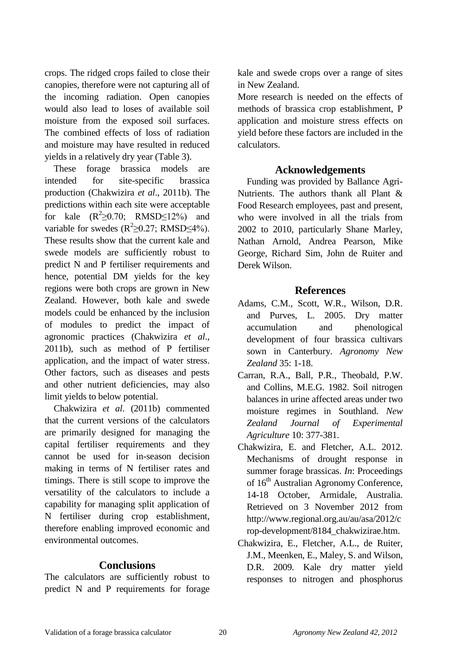crops. The ridged crops failed to close their canopies, therefore were not capturing all of the incoming radiation. Open canopies would also lead to loses of available soil moisture from the exposed soil surfaces. The combined effects of loss of radiation and moisture may have resulted in reduced yields in a relatively dry year (Table 3).

These forage brassica models are intended for site-specific brassica production (Chakwizira *et al*., 2011b). The predictions within each site were acceptable for kale  $(R^2 \ge 0.70)$ ; RMSD $\le 12\%$ ) and variable for swedes  $(R^2 \ge 0.27$ ; RMSD $\le 4\%$ ). These results show that the current kale and swede models are sufficiently robust to predict N and P fertiliser requirements and hence, potential DM yields for the key regions were both crops are grown in New Zealand. However, both kale and swede models could be enhanced by the inclusion of modules to predict the impact of agronomic practices (Chakwizira *et al*., 2011b), such as method of P fertiliser application, and the impact of water stress. Other factors, such as diseases and pests and other nutrient deficiencies, may also limit yields to below potential.

Chakwizira *et al*. (2011b) commented that the current versions of the calculators are primarily designed for managing the capital fertiliser requirements and they cannot be used for in-season decision making in terms of N fertiliser rates and timings. There is still scope to improve the versatility of the calculators to include a capability for managing split application of N fertiliser during crop establishment, therefore enabling improved economic and environmental outcomes.

## **Conclusions**

The calculators are sufficiently robust to predict N and P requirements for forage

kale and swede crops over a range of sites in New Zealand.

More research is needed on the effects of methods of brassica crop establishment, P application and moisture stress effects on yield before these factors are included in the calculators.

#### **Acknowledgements**

Funding was provided by Ballance Agri-Nutrients. The authors thank all Plant & Food Research employees, past and present, who were involved in all the trials from 2002 to 2010, particularly Shane Marley, Nathan Arnold, Andrea Pearson, Mike George, Richard Sim, John de Ruiter and Derek Wilson.

#### **References**

- Adams, C.M., Scott, W.R., Wilson, D.R. and Purves, L. 2005. Dry matter accumulation and phenological development of four brassica cultivars sown in Canterbury. *Agronomy New Zealand* 35: 1-18.
- Carran, R.A., Ball, P.R., Theobald, P.W. and Collins, M.E.G. 1982. Soil nitrogen balances in urine affected areas under two moisture regimes in Southland. *New Zealand Journal of Experimental Agriculture* 10: 377-381.
- Chakwizira, E. and Fletcher, A.L. 2012. Mechanisms of drought response in summer forage brassicas. *In*: Proceedings of 16<sup>th</sup> Australian Agronomy Conference, 14-18 October, Armidale, Australia. Retrieved on 3 November 2012 from http://www.regional.org.au/au/asa/2012/c rop-development/8184\_chakwizirae.htm.
- Chakwizira, E., Fletcher, A.L., de Ruiter, J.M., Meenken, E., Maley, S. and Wilson, D.R. 2009. Kale dry matter yield responses to nitrogen and phosphorus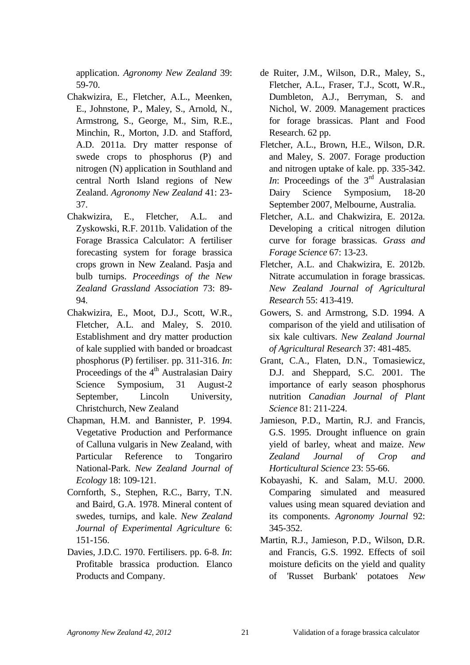application. *Agronomy New Zealand* 39: 59-70.

- Chakwizira, E., Fletcher, A.L., Meenken, E., Johnstone, P., Maley, S., Arnold, N., Armstrong, S., George, M., Sim, R.E., Minchin, R., Morton, J.D. and Stafford, A.D. 2011a. Dry matter response of swede crops to phosphorus (P) and nitrogen (N) application in Southland and central North Island regions of New Zealand. *Agronomy New Zealand* 41: 23- 37.
- Chakwizira, E., Fletcher, A.L. and Zyskowski, R.F. 2011b. Validation of the Forage Brassica Calculator: A fertiliser forecasting system for forage brassica crops grown in New Zealand. Pasja and bulb turnips. *Proceedings of the New Zealand Grassland Association* 73: 89- 94.
- Chakwizira, E., Moot, D.J., Scott, W.R., Fletcher, A.L. and Maley, S. 2010. Establishment and dry matter production of kale supplied with banded or broadcast phosphorus (P) fertiliser. pp. 311-316. *In*: Proceedings of the  $4<sup>th</sup>$  Australasian Dairy Science Symposium, 31 August-2 September, Lincoln University, Christchurch, New Zealand
- Chapman, H.M. and Bannister, P. 1994. Vegetative Production and Performance of Calluna vulgaris in New Zealand, with Particular Reference to Tongariro National-Park. *New Zealand Journal of Ecology* 18: 109-121.
- Cornforth, S., Stephen, R.C., Barry, T.N. and Baird, G.A. 1978. Mineral content of swedes, turnips, and kale. *New Zealand Journal of Experimental Agriculture* 6: 151-156.
- Davies, J.D.C. 1970. Fertilisers. pp. 6-8. *In*: Profitable brassica production. Elanco Products and Company.
- de Ruiter, J.M., Wilson, D.R., Maley, S., Fletcher, A.L., Fraser, T.J., Scott, W.R., Dumbleton, A.J., Berryman, S. and Nichol, W. 2009. Management practices for forage brassicas. Plant and Food Research. 62 pp.
- Fletcher, A.L., Brown, H.E., Wilson, D.R. and Maley, S. 2007. Forage production and nitrogen uptake of kale. pp. 335-342. *In*: Proceedings of the  $3<sup>rd</sup>$  Australasian Dairy Science Symposium, 18-20 September 2007, Melbourne, Australia.
- Fletcher, A.L. and Chakwizira, E. 2012a. Developing a critical nitrogen dilution curve for forage brassicas. *Grass and Forage Science* 67: 13-23.
- Fletcher, A.L. and Chakwizira, E. 2012b. Nitrate accumulation in forage brassicas. *New Zealand Journal of Agricultural Research* 55: 413-419.
- Gowers, S. and Armstrong, S.D. 1994. A comparison of the yield and utilisation of six kale cultivars. *New Zealand Journal of Agricultural Research* 37: 481-485.
- Grant, C.A., Flaten, D.N., Tomasiewicz, D.J. and Sheppard, S.C. 2001. The importance of early season phosphorus nutrition *Canadian Journal of Plant Science* 81: 211-224.
- Jamieson, P.D., Martin, R.J. and Francis, G.S. 1995. Drought influence on grain yield of barley, wheat and maize. *New Zealand Journal of Crop and Horticultural Science* 23: 55-66.
- Kobayashi, K. and Salam, M.U. 2000. Comparing simulated and measured values using mean squared deviation and its components. *Agronomy Journal* 92: 345-352.
- Martin, R.J., Jamieson, P.D., Wilson, D.R. and Francis, G.S. 1992. Effects of soil moisture deficits on the yield and quality of 'Russet Burbank' potatoes *New*